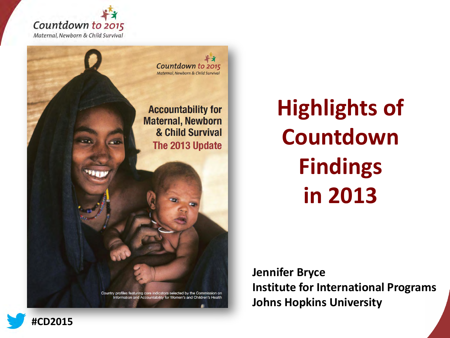



**Highlights of Countdown Findings in 2013**

**Jennifer Bryce Institute for International Programs Johns Hopkins University** 

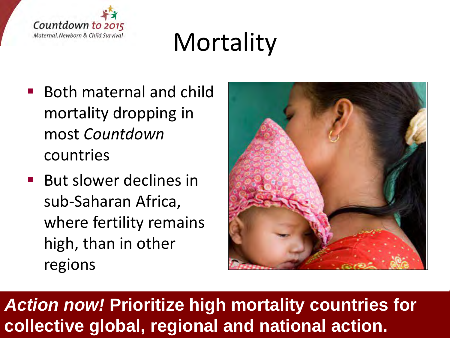

# **Mortality**

- Both maternal and child mortality dropping in most *Countdown* countries
- **But slower declines in** sub-Saharan Africa, where fertility remains high, than in other regions



### *Action now!* **Prioritize high mortality countries for collective global, regional and national action.**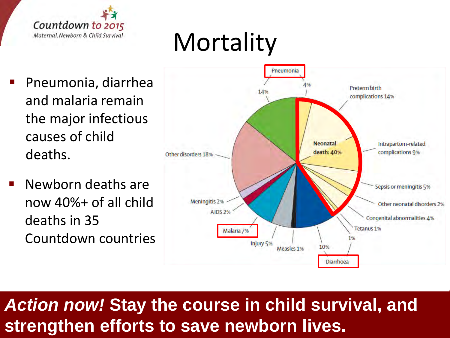

# **Mortality**

- Pneumonia, diarrhea and malaria remain the major infectious causes of child deaths.
- Newborn deaths are now 40%+ of all child deaths in 35 Countdown countries



### *Action now!* **Stay the course in child survival, and strengthen efforts to save newborn lives.**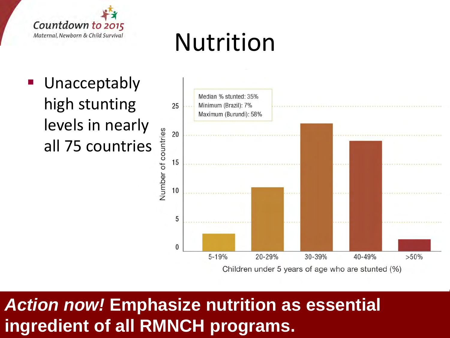

# Nutrition

 Unacceptably high stunting levels in nearly all 75 countries



### *Action now!* **Emphasize nutrition as essential ingredient of all RMNCH programs.**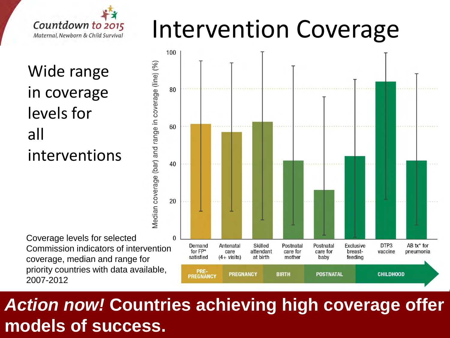

Wide range in coverage levels for all interventions

Coverage levels for selected Commission indicators of intervention coverage, median and range for priority countries with data available, 2007-2012

Median coverage (bar) and range in coverage (line) (%)





### *Action now!* **Countries achieving high coverage offer models of success.**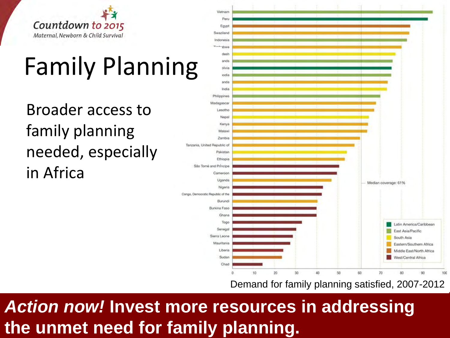

# Family Planning

Broader access to family planning needed, especially in Africa



Demand for family planning satisfied, 2007-2012

*Action now!* **Invest more resources in addressing the unmet need for family planning.**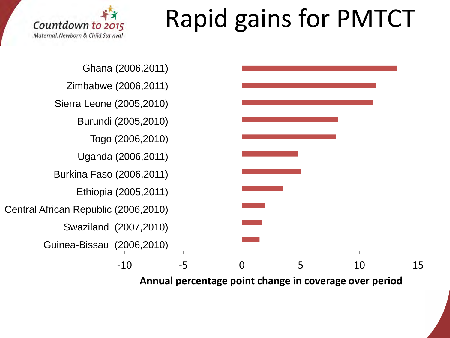# Rapid gains for PMTCT





**Annual percentage point change in coverage over period**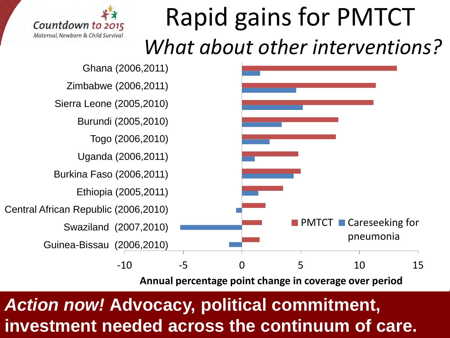## Rapid gains for PMTCT  *What about other interventions?*





**Annual percentage point change in coverage over period**

### *Action now!* **Advocacy, political commitment, investment needed across the continuum of care.**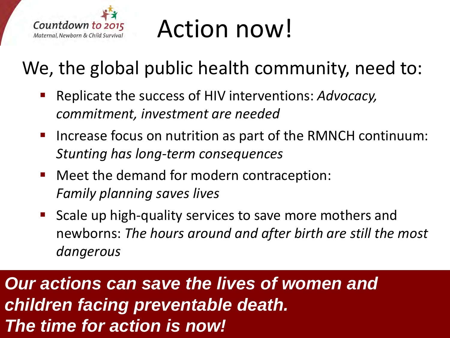

# Action now!

### We, the global public health community, need to:

- Replicate the success of HIV interventions: *Advocacy, commitment, investment are needed*
- Increase focus on nutrition as part of the RMNCH continuum: *Stunting has long-term consequences*
- Meet the demand for modern contraception: *Family planning saves lives*
- Scale up high-quality services to save more mothers and newborns: *The hours around and after birth are still the most dangerous*

*Our actions can save the lives of women and children facing preventable death. The time for action is now!*